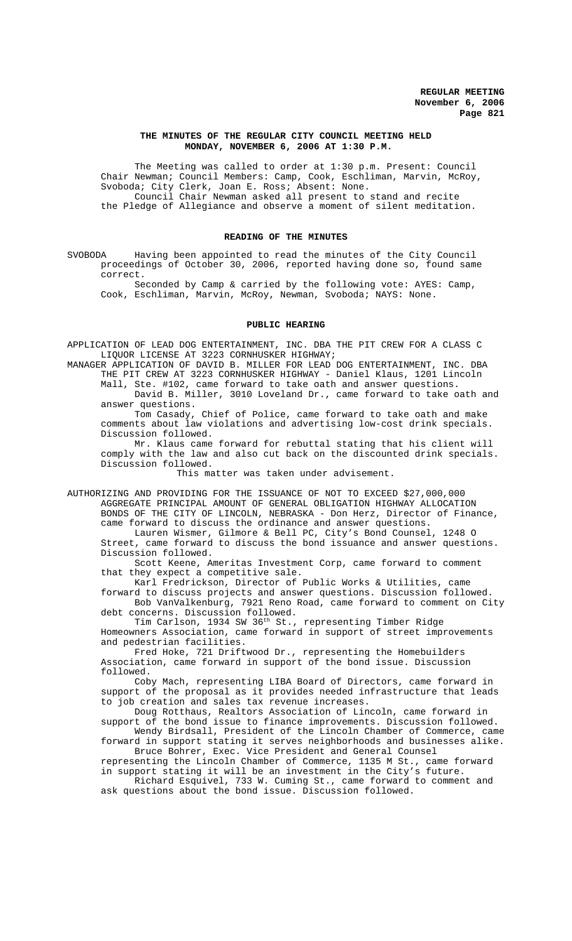#### **THE MINUTES OF THE REGULAR CITY COUNCIL MEETING HELD MONDAY, NOVEMBER 6, 2006 AT 1:30 P.M.**

The Meeting was called to order at 1:30 p.m. Present: Council Chair Newman; Council Members: Camp, Cook, Eschliman, Marvin, McRoy, Svoboda; City Clerk, Joan E. Ross; Absent: None. Council Chair Newman asked all present to stand and recite the Pledge of Allegiance and observe a moment of silent meditation.

# **READING OF THE MINUTES**

SVOBODA Having been appointed to read the minutes of the City Council proceedings of October 30, 2006, reported having done so, found same correct.

Seconded by Camp & carried by the following vote: AYES: Camp, Cook, Eschliman, Marvin, McRoy, Newman, Svoboda; NAYS: None.

#### **PUBLIC HEARING**

APPLICATION OF LEAD DOG ENTERTAINMENT, INC. DBA THE PIT CREW FOR A CLASS C LIQUOR LICENSE AT 3223 CORNHUSKER HIGHWAY;

MANAGER APPLICATION OF DAVID B. MILLER FOR LEAD DOG ENTERTAINMENT, INC. DBA THE PIT CREW AT 3223 CORNHUSKER HIGHWAY - Daniel Klaus, 1201 Lincoln Mall, Ste. #102, came forward to take oath and answer questions.

David B. Miller, 3010 Loveland Dr., came forward to take oath and answer questions.

Tom Casady, Chief of Police, came forward to take oath and make comments about law violations and advertising low-cost drink specials. Discussion followed.

Mr. Klaus came forward for rebuttal stating that his client will comply with the law and also cut back on the discounted drink specials. Discussion followed.

This matter was taken under advisement.

AUTHORIZING AND PROVIDING FOR THE ISSUANCE OF NOT TO EXCEED \$27,000,000 AGGREGATE PRINCIPAL AMOUNT OF GENERAL OBLIGATION HIGHWAY ALLOCATION BONDS OF THE CITY OF LINCOLN, NEBRASKA - Don Herz, Director of Finance, came forward to discuss the ordinance and answer questions. Lauren Wismer, Gilmore & Bell PC, City's Bond Counsel, 1248 O Street, came forward to discuss the bond issuance and answer questions.

Discussion followed. Scott Keene, Ameritas Investment Corp, came forward to comment that they expect a competitive sale.

Karl Fredrickson, Director of Public Works & Utilities, came

forward to discuss projects and answer questions. Discussion followed. Bob VanValkenburg, 7921 Reno Road, came forward to comment on City debt concerns. Discussion followed.

Tim Carlson, 1934 SW 36<sup>th</sup> St., representing Timber Ridge Homeowners Association, came forward in support of street improvements and pedestrian facilities.

Fred Hoke, 721 Driftwood Dr., representing the Homebuilders Association, came forward in support of the bond issue. Discussion followed.

Coby Mach, representing LIBA Board of Directors, came forward in support of the proposal as it provides needed infrastructure that leads to job creation and sales tax revenue increases.

Doug Rotthaus, Realtors Association of Lincoln, came forward in support of the bond issue to finance improvements. Discussion followed. Wendy Birdsall, President of the Lincoln Chamber of Commerce, came

forward in support stating it serves neighborhoods and businesses alike. Bruce Bohrer, Exec. Vice President and General Counsel

representing the Lincoln Chamber of Commerce, 1135 M St., came forward in support stating it will be an investment in the City's future. Richard Esquivel, 733 W. Cuming St., came forward to comment and

ask questions about the bond issue. Discussion followed.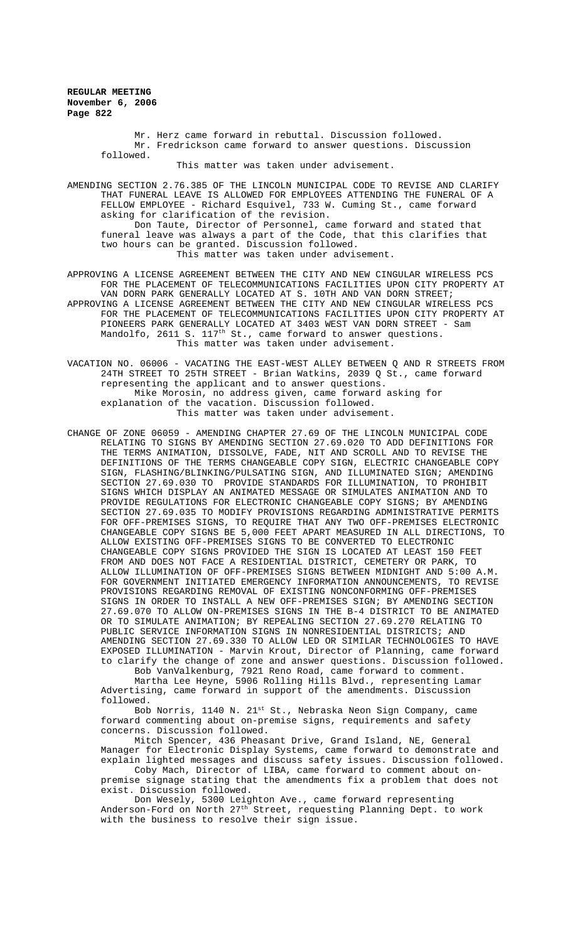> Mr. Herz came forward in rebuttal. Discussion followed. Mr. Fredrickson came forward to answer questions. Discussion followed.

> > This matter was taken under advisement.

AMENDING SECTION 2.76.385 OF THE LINCOLN MUNICIPAL CODE TO REVISE AND CLARIFY THAT FUNERAL LEAVE IS ALLOWED FOR EMPLOYEES ATTENDING THE FUNERAL OF A FELLOW EMPLOYEE - Richard Esquivel, 733 W. Cuming St., came forward asking for clarification of the revision.

Don Taute, Director of Personnel, came forward and stated that funeral leave was always a part of the Code, that this clarifies that two hours can be granted. Discussion followed. This matter was taken under advisement.

APPROVING A LICENSE AGREEMENT BETWEEN THE CITY AND NEW CINGULAR WIRELESS PCS FOR THE PLACEMENT OF TELECOMMUNICATIONS FACILITIES UPON CITY PROPERTY AT VAN DORN PARK GENERALLY LOCATED AT S. 10TH AND VAN DORN STREET; APPROVING A LICENSE AGREEMENT BETWEEN THE CITY AND NEW CINGULAR WIRELESS PCS FOR THE PLACEMENT OF TELECOMMUNICATIONS FACILITIES UPON CITY PROPERTY AT PIONEERS PARK GENERALLY LOCATED AT 3403 WEST VAN DORN STREET - Sam Mandolfo, 2611 S. 117<sup>th</sup> St., came forward to answer questions. This matter was taken under advisement.

VACATION NO. 06006 - VACATING THE EAST-WEST ALLEY BETWEEN Q AND R STREETS FROM 24TH STREET TO 25TH STREET - Brian Watkins, 2039 Q St., came forward representing the applicant and to answer questions. Mike Morosin, no address given, came forward asking for explanation of the vacation. Discussion followed. This matter was taken under advisement.

CHANGE OF ZONE 06059 - AMENDING CHAPTER 27.69 OF THE LINCOLN MUNICIPAL CODE RELATING TO SIGNS BY AMENDING SECTION 27.69.020 TO ADD DEFINITIONS FOR THE TERMS ANIMATION, DISSOLVE, FADE, NIT AND SCROLL AND TO REVISE THE DEFINITIONS OF THE TERMS CHANGEABLE COPY SIGN, ELECTRIC CHANGEABLE COPY SIGN, FLASHING/BLINKING/PULSATING SIGN, AND ILLUMINATED SIGN; AMENDING SECTION 27.69.030 TO PROVIDE STANDARDS FOR ILLUMINATION, TO PROHIBIT SIGNS WHICH DISPLAY AN ANIMATED MESSAGE OR SIMULATES ANIMATION AND TO PROVIDE REGULATIONS FOR ELECTRONIC CHANGEABLE COPY SIGNS; BY AMENDING SECTION 27.69.035 TO MODIFY PROVISIONS REGARDING ADMINISTRATIVE PERMITS FOR OFF-PREMISES SIGNS, TO REQUIRE THAT ANY TWO OFF-PREMISES ELECTRONIC CHANGEABLE COPY SIGNS BE 5,000 FEET APART MEASURED IN ALL DIRECTIONS, TO ALLOW EXISTING OFF-PREMISES SIGNS TO BE CONVERTED TO ELECTRONIC CHANGEABLE COPY SIGNS PROVIDED THE SIGN IS LOCATED AT LEAST 150 FEET FROM AND DOES NOT FACE A RESIDENTIAL DISTRICT, CEMETERY OR PARK, TO ALLOW ILLUMINATION OF OFF-PREMISES SIGNS BETWEEN MIDNIGHT AND 5:00 A.M. FOR GOVERNMENT INITIATED EMERGENCY INFORMATION ANNOUNCEMENTS, TO REVISE PROVISIONS REGARDING REMOVAL OF EXISTING NONCONFORMING OFF-PREMISES SIGNS IN ORDER TO INSTALL A NEW OFF-PREMISES SIGN; BY AMENDING SECTION 27.69.070 TO ALLOW ON-PREMISES SIGNS IN THE B-4 DISTRICT TO BE ANIMATED OR TO SIMULATE ANIMATION; BY REPEALING SECTION 27.69.270 RELATING TO PUBLIC SERVICE INFORMATION SIGNS IN NONRESIDENTIAL DISTRICTS; AND AMENDING SECTION 27.69.330 TO ALLOW LED OR SIMILAR TECHNOLOGIES TO HAVE EXPOSED ILLUMINATION - Marvin Krout, Director of Planning, came forward to clarify the change of zone and answer questions. Discussion followed.

Bob VanValkenburg, 7921 Reno Road, came forward to comment. Martha Lee Heyne, 5906 Rolling Hills Blvd., representing Lamar Advertising, came forward in support of the amendments. Discussion followed.

Bob Norris, 1140 N. 21<sup>st</sup> St., Nebraska Neon Sign Company, came forward commenting about on-premise signs, requirements and safety concerns. Discussion followed.

Mitch Spencer, 436 Pheasant Drive, Grand Island, NE, General Manager for Electronic Display Systems, came forward to demonstrate and explain lighted messages and discuss safety issues. Discussion followed.

Coby Mach, Director of LIBA, came forward to comment about onpremise signage stating that the amendments fix a problem that does not exist. Discussion followed.

Don Wesely, 5300 Leighton Ave., came forward representing Anderson-Ford on North 27<sup>th</sup> Street, requesting Planning Dept. to work with the business to resolve their sign issue.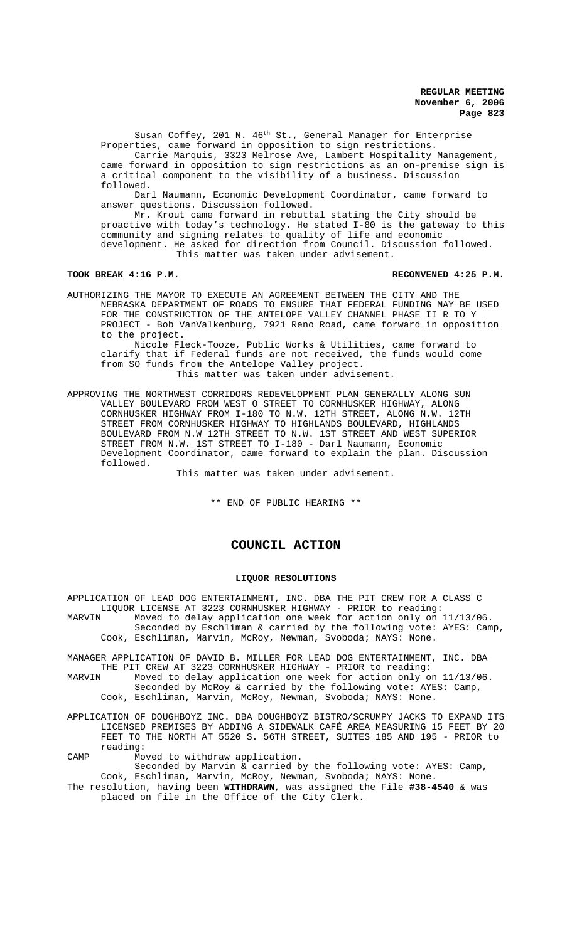Susan Coffey, 201 N. 46<sup>th</sup> St., General Manager for Enterprise Properties, came forward in opposition to sign restrictions. Carrie Marquis, 3323 Melrose Ave, Lambert Hospitality Management, came forward in opposition to sign restrictions as an on-premise sign is a critical component to the visibility of a business. Discussion followed.

Darl Naumann, Economic Development Coordinator, came forward to answer questions. Discussion followed.

Mr. Krout came forward in rebuttal stating the City should be proactive with today's technology. He stated I-80 is the gateway to this community and signing relates to quality of life and economic development. He asked for direction from Council. Discussion followed. This matter was taken under advisement.

#### TOOK BREAK 4:16 P.M. **RECONVENED 4:25 P.M.** RECONVENED 4:25 P.M.

AUTHORIZING THE MAYOR TO EXECUTE AN AGREEMENT BETWEEN THE CITY AND THE NEBRASKA DEPARTMENT OF ROADS TO ENSURE THAT FEDERAL FUNDING MAY BE USED FOR THE CONSTRUCTION OF THE ANTELOPE VALLEY CHANNEL PHASE II R TO Y PROJECT - Bob VanValkenburg, 7921 Reno Road, came forward in opposition to the project.

Nicole Fleck-Tooze, Public Works & Utilities, came forward to clarify that if Federal funds are not received, the funds would come from SO funds from the Antelope Valley project. This matter was taken under advisement.

APPROVING THE NORTHWEST CORRIDORS REDEVELOPMENT PLAN GENERALLY ALONG SUN VALLEY BOULEVARD FROM WEST O STREET TO CORNHUSKER HIGHWAY, ALONG CORNHUSKER HIGHWAY FROM I-180 TO N.W. 12TH STREET, ALONG N.W. 12TH STREET FROM CORNHUSKER HIGHWAY TO HIGHLANDS BOULEVARD, HIGHLANDS BOULEVARD FROM N.W 12TH STREET TO N.W. 1ST STREET AND WEST SUPERIOR STREET FROM N.W. 1ST STREET TO I-180 - Darl Naumann, Economic Development Coordinator, came forward to explain the plan. Discussion followed.

This matter was taken under advisement.

\*\* END OF PUBLIC HEARING \*\*

# **COUNCIL ACTION**

#### **LIQUOR RESOLUTIONS**

APPLICATION OF LEAD DOG ENTERTAINMENT, INC. DBA THE PIT CREW FOR A CLASS C LIQUOR LICENSE AT 3223 CORNHUSKER HIGHWAY - PRIOR to reading:<br>MARVIN Moved to delay application one week for action only on Moved to delay application one week for action only on 11/13/06. Seconded by Eschliman & carried by the following vote: AYES: Camp, Cook, Eschliman, Marvin, McRoy, Newman, Svoboda; NAYS: None.

MANAGER APPLICATION OF DAVID B. MILLER FOR LEAD DOG ENTERTAINMENT, INC. DBA THE PIT CREW AT 3223 CORNHUSKER HIGHWAY - PRIOR to reading:<br>MARVIN Moved to delay application one week for action only o

Moved to delay application one week for action only on  $11/13/06$ . Seconded by McRoy & carried by the following vote: AYES: Camp,

- Cook, Eschliman, Marvin, McRoy, Newman, Svoboda; NAYS: None.
- APPLICATION OF DOUGHBOYZ INC. DBA DOUGHBOYZ BISTRO/SCRUMPY JACKS TO EXPAND ITS LICENSED PREMISES BY ADDING A SIDEWALK CAFÉ AREA MEASURING 15 FEET BY 20 FEET TO THE NORTH AT 5520 S. 56TH STREET, SUITES 185 AND 195 - PRIOR to reading:

CAMP Moved to withdraw application.

Seconded by Marvin & carried by the following vote: AYES: Camp, Cook, Eschliman, Marvin, McRoy, Newman, Svoboda; NAYS: None.

The resolution, having been **WITHDRAWN**, was assigned the File **#38-4540** & was placed on file in the Office of the City Clerk.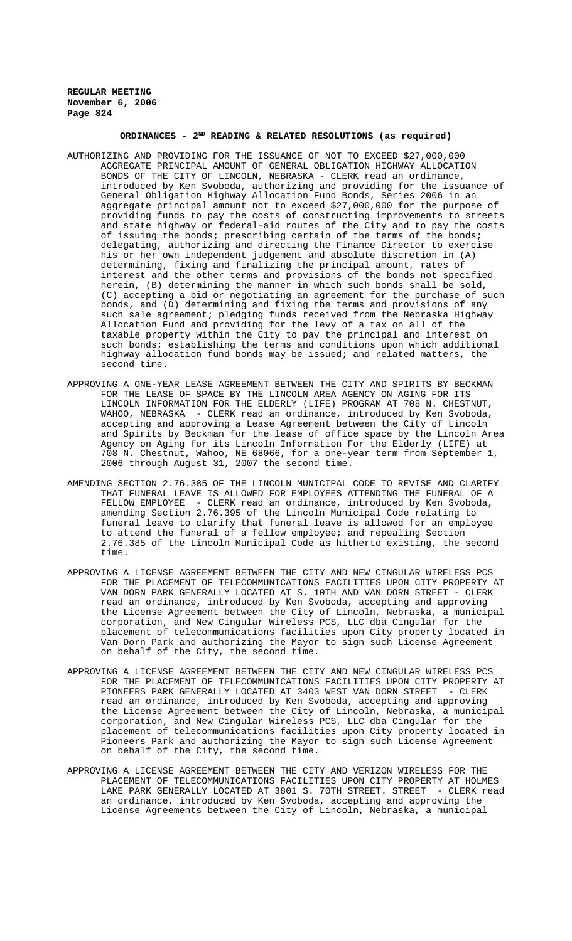#### **ORDINANCES - 2ND READING & RELATED RESOLUTIONS (as required)**

- AUTHORIZING AND PROVIDING FOR THE ISSUANCE OF NOT TO EXCEED \$27,000,000 AGGREGATE PRINCIPAL AMOUNT OF GENERAL OBLIGATION HIGHWAY ALLOCATION BONDS OF THE CITY OF LINCOLN, NEBRASKA - CLERK read an ordinance, introduced by Ken Svoboda, authorizing and providing for the issuance of General Obligation Highway Allocation Fund Bonds, Series 2006 in an aggregate principal amount not to exceed \$27,000,000 for the purpose of providing funds to pay the costs of constructing improvements to streets and state highway or federal-aid routes of the City and to pay the costs of issuing the bonds; prescribing certain of the terms of the bonds; delegating, authorizing and directing the Finance Director to exercise his or her own independent judgement and absolute discretion in (A) determining, fixing and finalizing the principal amount, rates of interest and the other terms and provisions of the bonds not specified herein, (B) determining the manner in which such bonds shall be sold, (C) accepting a bid or negotiating an agreement for the purchase of such bonds, and (D) determining and fixing the terms and provisions of any such sale agreement; pledging funds received from the Nebraska Highway Allocation Fund and providing for the levy of a tax on all of the taxable property within the City to pay the principal and interest on such bonds; establishing the terms and conditions upon which additional highway allocation fund bonds may be issued; and related matters, the second time.
- APPROVING A ONE-YEAR LEASE AGREEMENT BETWEEN THE CITY AND SPIRITS BY BECKMAN FOR THE LEASE OF SPACE BY THE LINCOLN AREA AGENCY ON AGING FOR ITS LINCOLN INFORMATION FOR THE ELDERLY (LIFE) PROGRAM AT 708 N. CHESTNUT, WAHOO, NEBRASKA - CLERK read an ordinance, introduced by Ken Svoboda, accepting and approving a Lease Agreement between the City of Lincoln and Spirits by Beckman for the lease of office space by the Lincoln Area Agency on Aging for its Lincoln Information For the Elderly (LIFE) at 708 N. Chestnut, Wahoo, NE 68066, for a one-year term from September 1, 2006 through August 31, 2007 the second time.
- AMENDING SECTION 2.76.385 OF THE LINCOLN MUNICIPAL CODE TO REVISE AND CLARIFY THAT FUNERAL LEAVE IS ALLOWED FOR EMPLOYEES ATTENDING THE FUNERAL OF A FELLOW EMPLOYEE - CLERK read an ordinance, introduced by Ken Svoboda, amending Section 2.76.395 of the Lincoln Municipal Code relating to funeral leave to clarify that funeral leave is allowed for an employee to attend the funeral of a fellow employee; and repealing Section 2.76.385 of the Lincoln Municipal Code as hitherto existing, the second time.
- APPROVING A LICENSE AGREEMENT BETWEEN THE CITY AND NEW CINGULAR WIRELESS PCS FOR THE PLACEMENT OF TELECOMMUNICATIONS FACILITIES UPON CITY PROPERTY AT VAN DORN PARK GENERALLY LOCATED AT S. 10TH AND VAN DORN STREET - CLERK read an ordinance, introduced by Ken Svoboda, accepting and approving the License Agreement between the City of Lincoln, Nebraska, a municipal corporation, and New Cingular Wireless PCS, LLC dba Cingular for the placement of telecommunications facilities upon City property located in Van Dorn Park and authorizing the Mayor to sign such License Agreement on behalf of the City, the second time.
- APPROVING A LICENSE AGREEMENT BETWEEN THE CITY AND NEW CINGULAR WIRELESS PCS FOR THE PLACEMENT OF TELECOMMUNICATIONS FACILITIES UPON CITY PROPERTY AT PIONEERS PARK GENERALLY LOCATED AT 3403 WEST VAN DORN STREET - CLERK read an ordinance, introduced by Ken Svoboda, accepting and approving the License Agreement between the City of Lincoln, Nebraska, a municipal corporation, and New Cingular Wireless PCS, LLC dba Cingular for the placement of telecommunications facilities upon City property located in Pioneers Park and authorizing the Mayor to sign such License Agreement on behalf of the City, the second time.
- APPROVING A LICENSE AGREEMENT BETWEEN THE CITY AND VERIZON WIRELESS FOR THE PLACEMENT OF TELECOMMUNICATIONS FACILITIES UPON CITY PROPERTY AT HOLMES LAKE PARK GENERALLY LOCATED AT 3801 S. 70TH STREET. STREET - CLERK read an ordinance, introduced by Ken Svoboda, accepting and approving the License Agreements between the City of Lincoln, Nebraska, a municipal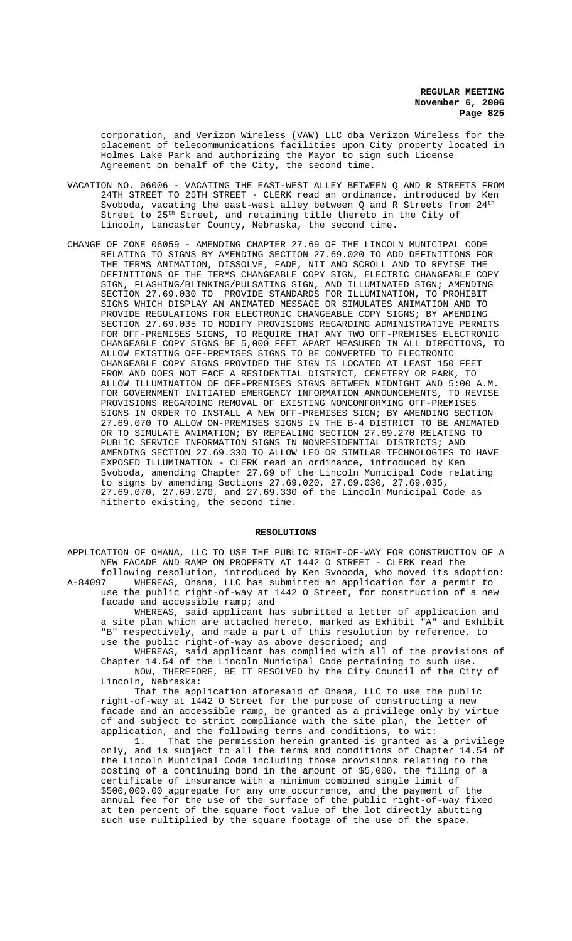corporation, and Verizon Wireless (VAW) LLC dba Verizon Wireless for the placement of telecommunications facilities upon City property located in Holmes Lake Park and authorizing the Mayor to sign such License Agreement on behalf of the City, the second time.

- VACATION NO. 06006 VACATING THE EAST-WEST ALLEY BETWEEN Q AND R STREETS FROM 24TH STREET TO 25TH STREET - CLERK read an ordinance, introduced by Ken Svoboda, vacating the east-west alley between Q and R Streets from  $24^{\rm th}$ Street to 25<sup>th</sup> Street, and retaining title thereto in the City of Lincoln, Lancaster County, Nebraska, the second time.
- CHANGE OF ZONE 06059 AMENDING CHAPTER 27.69 OF THE LINCOLN MUNICIPAL CODE RELATING TO SIGNS BY AMENDING SECTION 27.69.020 TO ADD DEFINITIONS FOR THE TERMS ANIMATION, DISSOLVE, FADE, NIT AND SCROLL AND TO REVISE THE DEFINITIONS OF THE TERMS CHANGEABLE COPY SIGN, ELECTRIC CHANGEABLE COPY SIGN, FLASHING/BLINKING/PULSATING SIGN, AND ILLUMINATED SIGN; AMENDING SECTION 27.69.030 TO PROVIDE STANDARDS FOR ILLUMINATION, TO PROHIBIT SIGNS WHICH DISPLAY AN ANIMATED MESSAGE OR SIMULATES ANIMATION AND TO PROVIDE REGULATIONS FOR ELECTRONIC CHANGEABLE COPY SIGNS; BY AMENDING SECTION 27.69.035 TO MODIFY PROVISIONS REGARDING ADMINISTRATIVE PERMITS FOR OFF-PREMISES SIGNS, TO REQUIRE THAT ANY TWO OFF-PREMISES ELECTRONIC CHANGEABLE COPY SIGNS BE 5,000 FEET APART MEASURED IN ALL DIRECTIONS, TO ALLOW EXISTING OFF-PREMISES SIGNS TO BE CONVERTED TO ELECTRONIC CHANGEABLE COPY SIGNS PROVIDED THE SIGN IS LOCATED AT LEAST 150 FEET FROM AND DOES NOT FACE A RESIDENTIAL DISTRICT, CEMETERY OR PARK, TO ALLOW ILLUMINATION OF OFF-PREMISES SIGNS BETWEEN MIDNIGHT AND 5:00 A.M. FOR GOVERNMENT INITIATED EMERGENCY INFORMATION ANNOUNCEMENTS, TO REVISE PROVISIONS REGARDING REMOVAL OF EXISTING NONCONFORMING OFF-PREMISES SIGNS IN ORDER TO INSTALL A NEW OFF-PREMISES SIGN; BY AMENDING SECTION 27.69.070 TO ALLOW ON-PREMISES SIGNS IN THE B-4 DISTRICT TO BE ANIMATED OR TO SIMULATE ANIMATION; BY REPEALING SECTION 27.69.270 RELATING TO PUBLIC SERVICE INFORMATION SIGNS IN NONRESIDENTIAL DISTRICTS; AND AMENDING SECTION 27.69.330 TO ALLOW LED OR SIMILAR TECHNOLOGIES TO HAVE EXPOSED ILLUMINATION - CLERK read an ordinance, introduced by Ken Svoboda, amending Chapter 27.69 of the Lincoln Municipal Code relating to signs by amending Sections 27.69.020, 27.69.030, 27.69.035, 27.69.070, 27.69.270, and 27.69.330 of the Lincoln Municipal Code as hitherto existing, the second time.

#### **RESOLUTIONS**

APPLICATION OF OHANA, LLC TO USE THE PUBLIC RIGHT-OF-WAY FOR CONSTRUCTION OF A NEW FACADE AND RAMP ON PROPERTY AT 1442 O STREET - CLERK read the following resolution, introduced by Ken Svoboda, who moved its adoption:<br>A-84097 WHEREAS, Ohana, LLC has submitted an application for a permit to

WHEREAS, Ohana, LLC has submitted an application for a permit to use the public right-of-way at 1442 O Street, for construction of a new facade and accessible ramp; and

WHEREAS, said applicant has submitted a letter of application and a site plan which are attached hereto, marked as Exhibit "A" and Exhibit "B" respectively, and made a part of this resolution by reference, to use the public right-of-way as above described; and

WHEREAS, said applicant has complied with all of the provisions of Chapter 14.54 of the Lincoln Municipal Code pertaining to such use. NOW, THEREFORE, BE IT RESOLVED by the City Council of the City of Lincoln, Nebraska:

That the application aforesaid of Ohana, LLC to use the public right-of-way at 1442 O Street for the purpose of constructing a new facade and an accessible ramp, be granted as a privilege only by virtue of and subject to strict compliance with the site plan, the letter of application, and the following terms and conditions, to wit:

1. That the permission herein granted is granted as a privilege only, and is subject to all the terms and conditions of Chapter 14.54 of the Lincoln Municipal Code including those provisions relating to the posting of a continuing bond in the amount of \$5,000, the filing of a certificate of insurance with a minimum combined single limit of \$500,000.00 aggregate for any one occurrence, and the payment of the annual fee for the use of the surface of the public right-of-way fixed at ten percent of the square foot value of the lot directly abutting such use multiplied by the square footage of the use of the space.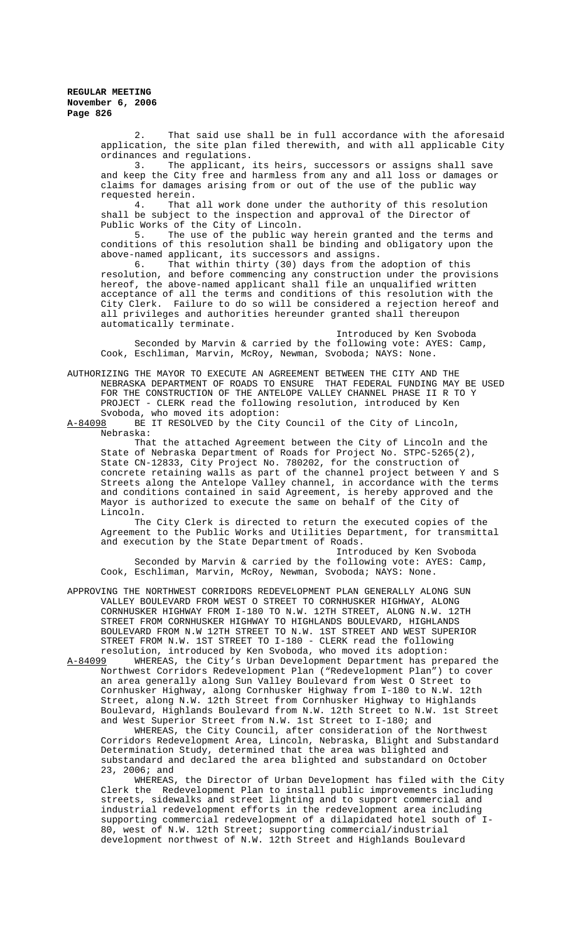2. That said use shall be in full accordance with the aforesaid application, the site plan filed therewith, and with all applicable City ordinances and regulations.<br>3. The applicant,

The applicant, its heirs, successors or assigns shall save and keep the City free and harmless from any and all loss or damages or claims for damages arising from or out of the use of the public way requested herein.

4. That all work done under the authority of this resolution shall be subject to the inspection and approval of the Director of Public Works of the City of Lincoln.

5. The use of the public way herein granted and the terms and conditions of this resolution shall be binding and obligatory upon the above-named applicant, its successors and assigns.<br>6. That within thirty (30) days from the adoption of this

6. That within thirty (30) days from the adoption of this resolution, and before commencing any construction under the provisions hereof, the above-named applicant shall file an unqualified written acceptance of all the terms and conditions of this resolution with the City Clerk. Failure to do so will be considered a rejection hereof and all privileges and authorities hereunder granted shall thereupon automatically terminate.

Introduced by Ken Svoboda Seconded by Marvin & carried by the following vote: AYES: Camp, Cook, Eschliman, Marvin, McRoy, Newman, Svoboda; NAYS: None.

AUTHORIZING THE MAYOR TO EXECUTE AN AGREEMENT BETWEEN THE CITY AND THE NEBRASKA DEPARTMENT OF ROADS TO ENSURE THAT FEDERAL FUNDING MAY BE USED FOR THE CONSTRUCTION OF THE ANTELOPE VALLEY CHANNEL PHASE II R TO Y PROJECT - CLERK read the following resolution, introduced by Ken Svoboda, who moved its adoption:<br>A-84098 BE IT RESOLVED by the City

BE IT RESOLVED by the City Council of the City of Lincoln, Nebraska:

That the attached Agreement between the City of Lincoln and the State of Nebraska Department of Roads for Project No. STPC-5265(2), State CN-12833, City Project No. 780202, for the construction of concrete retaining walls as part of the channel project between Y and S Streets along the Antelope Valley channel, in accordance with the terms and conditions contained in said Agreement, is hereby approved and the Mayor is authorized to execute the same on behalf of the City of Lincoln.

The City Clerk is directed to return the executed copies of the Agreement to the Public Works and Utilities Department, for transmittal and execution by the State Department of Roads.

Introduced by Ken Svoboda Seconded by Marvin & carried by the following vote: AYES: Camp, Cook, Eschliman, Marvin, McRoy, Newman, Svoboda; NAYS: None.

APPROVING THE NORTHWEST CORRIDORS REDEVELOPMENT PLAN GENERALLY ALONG SUN VALLEY BOULEVARD FROM WEST O STREET TO CORNHUSKER HIGHWAY, ALONG CORNHUSKER HIGHWAY FROM I-180 TO N.W. 12TH STREET, ALONG N.W. 12TH STREET FROM CORNHUSKER HIGHWAY TO HIGHLANDS BOULEVARD, HIGHLANDS BOULEVARD FROM N.W 12TH STREET TO N.W. 1ST STREET AND WEST SUPERIOR STREET FROM N.W. 1ST STREET TO I-180 - CLERK read the following resolution, introduced by Ken Svoboda, who moved its adoption:

A-84099 WHEREAS, the City's Urban Development Department has prepared the Northwest Corridors Redevelopment Plan ("Redevelopment Plan") to cover an area generally along Sun Valley Boulevard from West O Street to Cornhusker Highway, along Cornhusker Highway from I-180 to N.W. 12th Street, along N.W. 12th Street from Cornhusker Highway to Highlands Boulevard, Highlands Boulevard from N.W. 12th Street to N.W. 1st Street and West Superior Street from N.W. 1st Street to I-180; and

WHEREAS, the City Council, after consideration of the Northwest Corridors Redevelopment Area, Lincoln, Nebraska, Blight and Substandard Determination Study, determined that the area was blighted and substandard and declared the area blighted and substandard on October 23, 2006; and

WHEREAS, the Director of Urban Development has filed with the City Clerk the Redevelopment Plan to install public improvements including streets, sidewalks and street lighting and to support commercial and industrial redevelopment efforts in the redevelopment area including supporting commercial redevelopment of a dilapidated hotel south of I-80, west of N.W. 12th Street; supporting commercial/industrial development northwest of N.W. 12th Street and Highlands Boulevard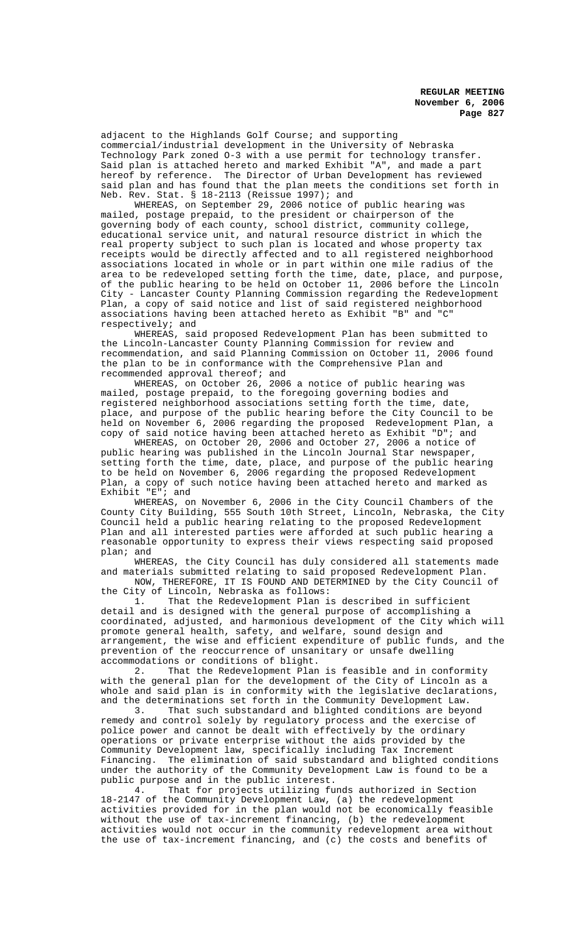adjacent to the Highlands Golf Course; and supporting commercial/industrial development in the University of Nebraska Technology Park zoned O-3 with a use permit for technology transfer. Said plan is attached hereto and marked Exhibit "A", and made a part hereof by reference. The Director of Urban Development has reviewed said plan and has found that the plan meets the conditions set forth in Neb. Rev. Stat. § 18-2113 (Reissue 1997); and

WHEREAS, on September 29, 2006 notice of public hearing was mailed, postage prepaid, to the president or chairperson of the governing body of each county, school district, community college, educational service unit, and natural resource district in which the real property subject to such plan is located and whose property tax receipts would be directly affected and to all registered neighborhood associations located in whole or in part within one mile radius of the area to be redeveloped setting forth the time, date, place, and purpose, of the public hearing to be held on October 11, 2006 before the Lincoln City - Lancaster County Planning Commission regarding the Redevelopment Plan, a copy of said notice and list of said registered neighborhood associations having been attached hereto as Exhibit "B" and "C" respectively; and

WHEREAS, said proposed Redevelopment Plan has been submitted to the Lincoln-Lancaster County Planning Commission for review and recommendation, and said Planning Commission on October 11, 2006 found the plan to be in conformance with the Comprehensive Plan and recommended approval thereof; and

WHEREAS, on October 26, 2006 a notice of public hearing was mailed, postage prepaid, to the foregoing governing bodies and registered neighborhood associations setting forth the time, date, place, and purpose of the public hearing before the City Council to be held on November 6, 2006 regarding the proposed Redevelopment Plan, a copy of said notice having been attached hereto as Exhibit "D"; and

WHEREAS, on October 20, 2006 and October 27, 2006 a notice of public hearing was published in the Lincoln Journal Star newspaper, setting forth the time, date, place, and purpose of the public hearing to be held on November 6, 2006 regarding the proposed Redevelopment Plan, a copy of such notice having been attached hereto and marked as Exhibit  $E^T$ ; and

WHEREAS, on November 6, 2006 in the City Council Chambers of the County City Building, 555 South 10th Street, Lincoln, Nebraska, the City Council held a public hearing relating to the proposed Redevelopment Plan and all interested parties were afforded at such public hearing a reasonable opportunity to express their views respecting said proposed plan; and

WHEREAS, the City Council has duly considered all statements made and materials submitted relating to said proposed Redevelopment Plan.

NOW, THEREFORE, IT IS FOUND AND DETERMINED by the City Council of the City of Lincoln, Nebraska as follows:

1. That the Redevelopment Plan is described in sufficient detail and is designed with the general purpose of accomplishing a coordinated, adjusted, and harmonious development of the City which will promote general health, safety, and welfare, sound design and arrangement, the wise and efficient expenditure of public funds, and the prevention of the reoccurrence of unsanitary or unsafe dwelling accommodations or conditions of blight.<br>2. That the Redevelopment Plan

That the Redevelopment Plan is feasible and in conformity with the general plan for the development of the City of Lincoln as a whole and said plan is in conformity with the legislative declarations, and the determinations set forth in the Community Development Law.

3. That such substandard and blighted conditions are beyond remedy and control solely by regulatory process and the exercise of police power and cannot be dealt with effectively by the ordinary operations or private enterprise without the aids provided by the Community Development law, specifically including Tax Increment Financing. The elimination of said substandard and blighted conditions under the authority of the Community Development Law is found to be a public purpose and in the public interest.<br>4. That for projects utilizing fu

That for projects utilizing funds authorized in Section 18-2147 of the Community Development Law, (a) the redevelopment activities provided for in the plan would not be economically feasible without the use of tax-increment financing, (b) the redevelopment activities would not occur in the community redevelopment area without the use of tax-increment financing, and (c) the costs and benefits of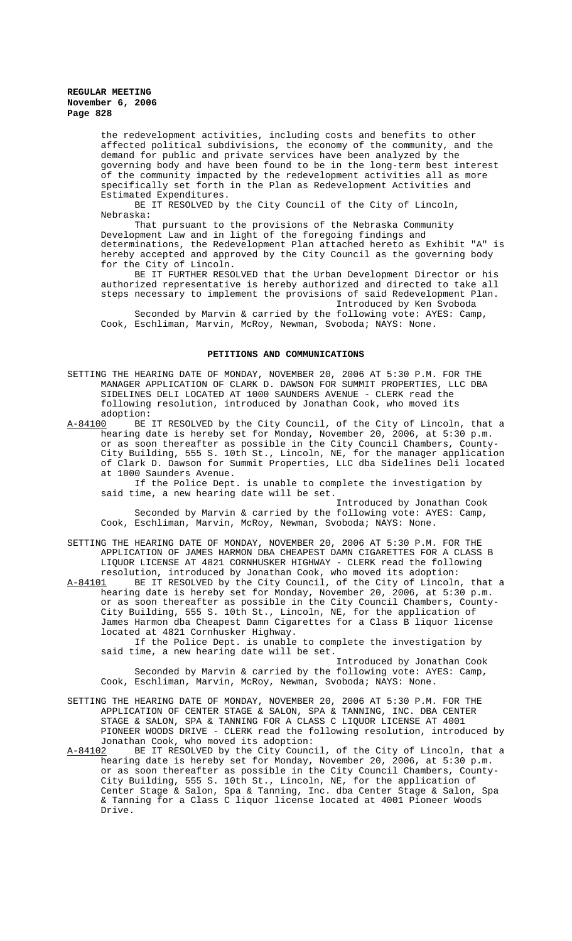the redevelopment activities, including costs and benefits to other affected political subdivisions, the economy of the community, and the demand for public and private services have been analyzed by the governing body and have been found to be in the long-term best interest of the community impacted by the redevelopment activities all as more specifically set forth in the Plan as Redevelopment Activities and Estimated Expenditures.

BE IT RESOLVED by the City Council of the City of Lincoln, Nebraska:

That pursuant to the provisions of the Nebraska Community Development Law and in light of the foregoing findings and determinations, the Redevelopment Plan attached hereto as Exhibit "A" is hereby accepted and approved by the City Council as the governing body for the City of Lincoln.

BE IT FURTHER RESOLVED that the Urban Development Director or his authorized representative is hereby authorized and directed to take all steps necessary to implement the provisions of said Redevelopment Plan. Introduced by Ken Svoboda

Seconded by Marvin & carried by the following vote: AYES: Camp, Cook, Eschliman, Marvin, McRoy, Newman, Svoboda; NAYS: None.

#### **PETITIONS AND COMMUNICATIONS**

SETTING THE HEARING DATE OF MONDAY, NOVEMBER 20, 2006 AT 5:30 P.M. FOR THE MANAGER APPLICATION OF CLARK D. DAWSON FOR SUMMIT PROPERTIES, LLC DBA SIDELINES DELI LOCATED AT 1000 SAUNDERS AVENUE - CLERK read the following resolution, introduced by Jonathan Cook, who moved its adoption:<br><u>A-84100</u> BE

BE IT RESOLVED by the City Council, of the City of Lincoln, that a hearing date is hereby set for Monday, November 20, 2006, at 5:30 p.m. or as soon thereafter as possible in the City Council Chambers, County-City Building, 555 S. 10th St., Lincoln, NE, for the manager application of Clark D. Dawson for Summit Properties, LLC dba Sidelines Deli located at 1000 Saunders Avenue.

If the Police Dept. is unable to complete the investigation by said time, a new hearing date will be set.

Introduced by Jonathan Cook Seconded by Marvin & carried by the following vote: AYES: Camp, Cook, Eschliman, Marvin, McRoy, Newman, Svoboda; NAYS: None.

SETTING THE HEARING DATE OF MONDAY, NOVEMBER 20, 2006 AT 5:30 P.M. FOR THE APPLICATION OF JAMES HARMON DBA CHEAPEST DAMN CIGARETTES FOR A CLASS B LIQUOR LICENSE AT 4821 CORNHUSKER HIGHWAY - CLERK read the following resolution, introduced by Jonathan Cook, who moved its adoption:

A-84101 BE IT RESOLVED by the City Council, of the City of Lincoln, that a hearing date is hereby set for Monday, November 20, 2006, at 5:30 p.m. or as soon thereafter as possible in the City Council Chambers, County-City Building, 555 S. 10th St., Lincoln, NE, for the application of James Harmon dba Cheapest Damn Cigarettes for a Class B liquor license located at 4821 Cornhusker Highway.

If the Police Dept. is unable to complete the investigation by said time, a new hearing date will be set.

Introduced by Jonathan Cook Seconded by Marvin & carried by the following vote: AYES: Camp, Cook, Eschliman, Marvin, McRoy, Newman, Svoboda; NAYS: None.

SETTING THE HEARING DATE OF MONDAY, NOVEMBER 20, 2006 AT 5:30 P.M. FOR THE APPLICATION OF CENTER STAGE & SALON, SPA & TANNING, INC. DBA CENTER STAGE & SALON, SPA & TANNING FOR A CLASS C LIQUOR LICENSE AT 4001 PIONEER WOODS DRIVE - CLERK read the following resolution, introduced by Jonathan Cook, who moved its adoption:

A-84102 BE IT RESOLVED by the City Council, of the City of Lincoln, that a hearing date is hereby set for Monday, November 20, 2006, at 5:30 p.m. or as soon thereafter as possible in the City Council Chambers, County-City Building, 555 S. 10th St., Lincoln, NE, for the application of Center Stage & Salon, Spa & Tanning, Inc. dba Center Stage & Salon, Spa & Tanning for a Class C liquor license located at 4001 Pioneer Woods Drive.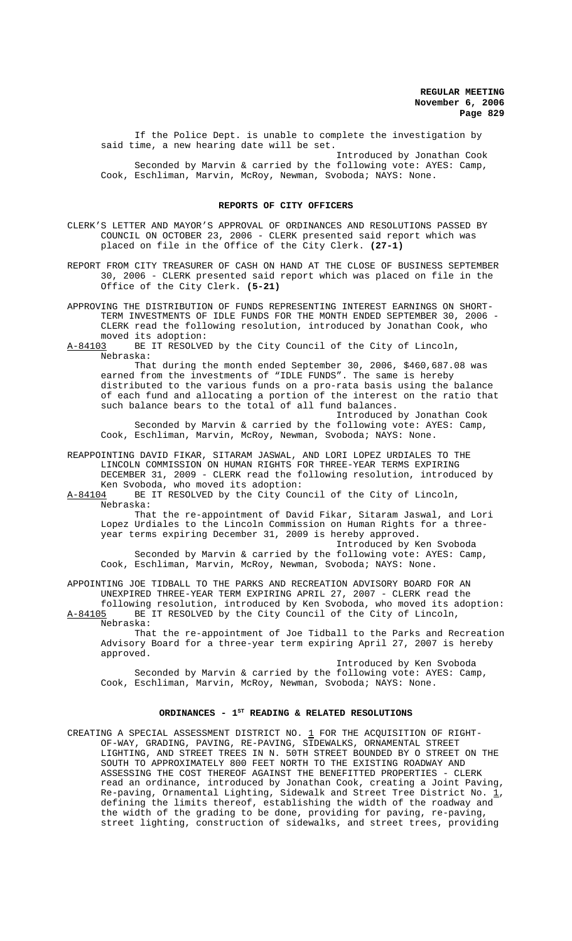If the Police Dept. is unable to complete the investigation by said time, a new hearing date will be set. Introduced by Jonathan Cook

Seconded by Marvin & carried by the following vote: AYES: Camp, Cook, Eschliman, Marvin, McRoy, Newman, Svoboda; NAYS: None.

#### **REPORTS OF CITY OFFICERS**

- CLERK'S LETTER AND MAYOR'S APPROVAL OF ORDINANCES AND RESOLUTIONS PASSED BY COUNCIL ON OCTOBER 23, 2006 - CLERK presented said report which was placed on file in the Office of the City Clerk. **(27-1)**
- REPORT FROM CITY TREASURER OF CASH ON HAND AT THE CLOSE OF BUSINESS SEPTEMBER 30, 2006 - CLERK presented said report which was placed on file in the Office of the City Clerk. **(5-21)**
- APPROVING THE DISTRIBUTION OF FUNDS REPRESENTING INTEREST EARNINGS ON SHORT-TERM INVESTMENTS OF IDLE FUNDS FOR THE MONTH ENDED SEPTEMBER 30, 2006 - CLERK read the following resolution, introduced by Jonathan Cook, who
- moved its adoption:<br>A-84103 BE IT RESOLVE BE IT RESOLVED by the City Council of the City of Lincoln, Nebraska:

That during the month ended September 30, 2006, \$460,687.08 was earned from the investments of "IDLE FUNDS". The same is hereby distributed to the various funds on a pro-rata basis using the balance of each fund and allocating a portion of the interest on the ratio that such balance bears to the total of all fund balances.

Introduced by Jonathan Cook Seconded by Marvin & carried by the following vote: AYES: Camp, Cook, Eschliman, Marvin, McRoy, Newman, Svoboda; NAYS: None.

REAPPOINTING DAVID FIKAR, SITARAM JASWAL, AND LORI LOPEZ URDIALES TO THE LINCOLN COMMISSION ON HUMAN RIGHTS FOR THREE-YEAR TERMS EXPIRING DECEMBER 31, 2009 - CLERK read the following resolution, introduced by Ken Svoboda, who moved its adoption:

A-84104 BE IT RESOLVED by the City Council of the City of Lincoln, Nebraska:

That the re-appointment of David Fikar, Sitaram Jaswal, and Lori Lopez Urdiales to the Lincoln Commission on Human Rights for a threeyear terms expiring December 31, 2009 is hereby approved.

Introduced by Ken Svoboda Seconded by Marvin & carried by the following vote: AYES: Camp, Cook, Eschliman, Marvin, McRoy, Newman, Svoboda; NAYS: None.

APPOINTING JOE TIDBALL TO THE PARKS AND RECREATION ADVISORY BOARD FOR AN UNEXPIRED THREE-YEAR TERM EXPIRING APRIL 27, 2007 - CLERK read the

following resolution, introduced by Ken Svoboda, who moved its adoption:<br>A-84105 BE IT RESOLVED by the City Council of the City of Lincoln, BE IT RESOLVED by the City Council of the City of Lincoln, Nebraska:

That the re-appointment of Joe Tidball to the Parks and Recreation Advisory Board for a three-year term expiring April 27, 2007 is hereby approved.

Introduced by Ken Svoboda Seconded by Marvin & carried by the following vote: AYES: Camp, Cook, Eschliman, Marvin, McRoy, Newman, Svoboda; NAYS: None.

# ORDINANCES - 1<sup>st</sup> READING & RELATED RESOLUTIONS

CREATING A SPECIAL ASSESSMENT DISTRICT NO.  $1$  FOR THE ACQUISITION OF RIGHT-OF-WAY, GRADING, PAVING, RE-PAVING, SIDEWALKS, ORNAMENTAL STREET LIGHTING, AND STREET TREES IN N. 50TH STREET BOUNDED BY O STREET ON THE SOUTH TO APPROXIMATELY 800 FEET NORTH TO THE EXISTING ROADWAY AND ASSESSING THE COST THEREOF AGAINST THE BENEFITTED PROPERTIES - CLERK read an ordinance, introduced by Jonathan Cook, creating a Joint Paving, Re-paving, Ornamental Lighting, Sidewalk and Street Tree District No.  $\underline{1}$ , defining the limits thereof, establishing the width of the roadway and the width of the grading to be done, providing for paving, re-paving, street lighting, construction of sidewalks, and street trees, providing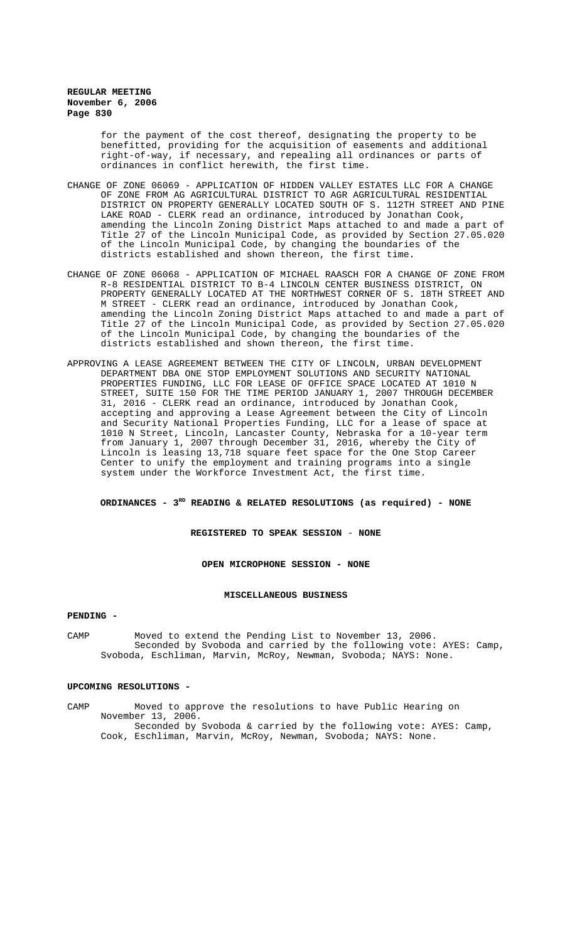for the payment of the cost thereof, designating the property to be benefitted, providing for the acquisition of easements and additional right-of-way, if necessary, and repealing all ordinances or parts of ordinances in conflict herewith, the first time.

- CHANGE OF ZONE 06069 APPLICATION OF HIDDEN VALLEY ESTATES LLC FOR A CHANGE OF ZONE FROM AG AGRICULTURAL DISTRICT TO AGR AGRICULTURAL RESIDENTIAL DISTRICT ON PROPERTY GENERALLY LOCATED SOUTH OF S. 112TH STREET AND PINE LAKE ROAD - CLERK read an ordinance, introduced by Jonathan Cook, amending the Lincoln Zoning District Maps attached to and made a part of Title 27 of the Lincoln Municipal Code, as provided by Section 27.05.020 of the Lincoln Municipal Code, by changing the boundaries of the districts established and shown thereon, the first time.
- CHANGE OF ZONE 06068 APPLICATION OF MICHAEL RAASCH FOR A CHANGE OF ZONE FROM R-8 RESIDENTIAL DISTRICT TO B-4 LINCOLN CENTER BUSINESS DISTRICT, ON PROPERTY GENERALLY LOCATED AT THE NORTHWEST CORNER OF S. 18TH STREET AND M STREET - CLERK read an ordinance, introduced by Jonathan Cook, amending the Lincoln Zoning District Maps attached to and made a part of Title 27 of the Lincoln Municipal Code, as provided by Section 27.05.020 of the Lincoln Municipal Code, by changing the boundaries of the districts established and shown thereon, the first time.
- APPROVING A LEASE AGREEMENT BETWEEN THE CITY OF LINCOLN, URBAN DEVELOPMENT DEPARTMENT DBA ONE STOP EMPLOYMENT SOLUTIONS AND SECURITY NATIONAL PROPERTIES FUNDING, LLC FOR LEASE OF OFFICE SPACE LOCATED AT 1010 N STREET, SUITE 150 FOR THE TIME PERIOD JANUARY 1, 2007 THROUGH DECEMBER 31, 2016 - CLERK read an ordinance, introduced by Jonathan Cook, accepting and approving a Lease Agreement between the City of Lincoln and Security National Properties Funding, LLC for a lease of space at 1010 N Street, Lincoln, Lancaster County, Nebraska for a 10-year term from January 1, 2007 through December 31, 2016, whereby the City of Lincoln is leasing 13,718 square feet space for the One Stop Career Center to unify the employment and training programs into a single system under the Workforce Investment Act, the first time.

## ORDINANCES - 3<sup>RD</sup> READING & RELATED RESOLUTIONS (as required) - NONE

**REGISTERED TO SPEAK SESSION** - **NONE**

#### **OPEN MICROPHONE SESSION - NONE**

#### **MISCELLANEOUS BUSINESS**

#### **PENDING -**

CAMP Moved to extend the Pending List to November 13, 2006. Seconded by Svoboda and carried by the following vote: AYES: Camp, Svoboda, Eschliman, Marvin, McRoy, Newman, Svoboda; NAYS: None.

#### **UPCOMING RESOLUTIONS -**

CAMP Moved to approve the resolutions to have Public Hearing on November 13, 2006. Seconded by Svoboda & carried by the following vote: AYES: Camp, Cook, Eschliman, Marvin, McRoy, Newman, Svoboda; NAYS: None.